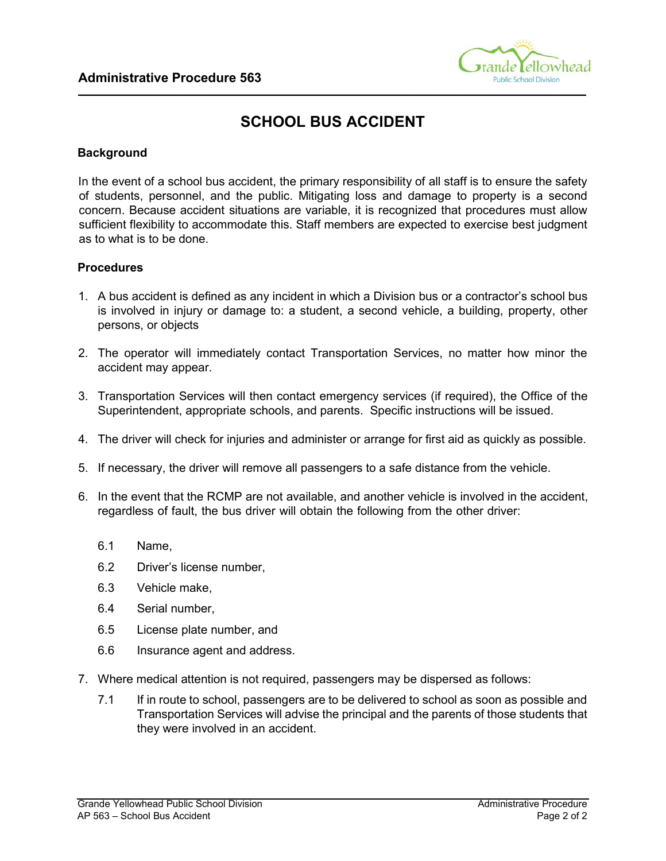

## **SCHOOL BUS ACCIDENT**

**\_\_\_\_\_\_\_\_\_\_\_\_\_\_\_\_\_\_\_\_\_\_\_\_\_\_\_\_\_\_\_\_\_\_\_\_\_\_\_\_\_\_\_\_\_\_\_\_\_\_\_\_\_\_\_\_\_\_\_\_\_\_\_\_\_\_\_\_\_\_\_\_\_\_\_\_\_\_\_\_\_\_\_\_\_\_\_\_\_\_\_\_\_\_\_\_\_\_\_\_\_\_\_\_\_** 

## **Background**

In the event of a school bus accident, the primary responsibility of all staff is to ensure the safety of students, personnel, and the public. Mitigating loss and damage to property is a second concern. Because accident situations are variable, it is recognized that procedures must allow sufficient flexibility to accommodate this. Staff members are expected to exercise best judgment as to what is to be done.

## **Procedures**

- 1. A bus accident is defined as any incident in which a Division bus or a contractor's school bus is involved in injury or damage to: a student, a second vehicle, a building, property, other persons, or objects
- 2. The operator will immediately contact Transportation Services, no matter how minor the accident may appear.
- 3. Transportation Services will then contact emergency services (if required), the Office of the Superintendent, appropriate schools, and parents. Specific instructions will be issued.
- 4. The driver will check for injuries and administer or arrange for first aid as quickly as possible.
- 5. If necessary, the driver will remove all passengers to a safe distance from the vehicle.
- 6. In the event that the RCMP are not available, and another vehicle is involved in the accident, regardless of fault, the bus driver will obtain the following from the other driver:
	- 6.1 Name,
	- 6.2 Driver's license number,
	- 6.3 Vehicle make,
	- 6.4 Serial number,
	- 6.5 License plate number, and
	- 6.6 Insurance agent and address.
- 7. Where medical attention is not required, passengers may be dispersed as follows:
	- 7.1 If in route to school, passengers are to be delivered to school as soon as possible and Transportation Services will advise the principal and the parents of those students that they were involved in an accident.